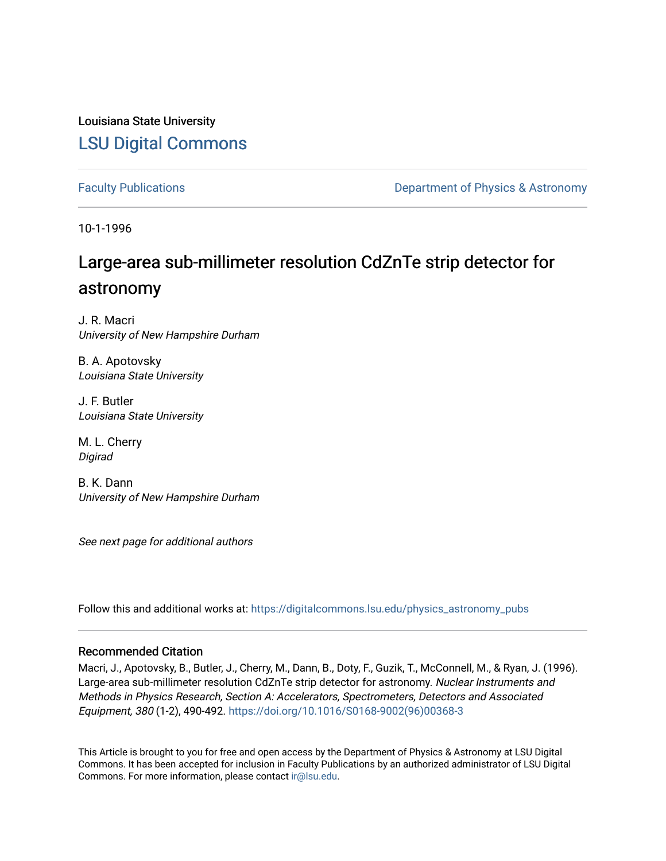# Louisiana State University [LSU Digital Commons](https://digitalcommons.lsu.edu/)

[Faculty Publications](https://digitalcommons.lsu.edu/physics_astronomy_pubs) **Exercise 2 and Table 2 and Table 2 and Table 2 and Table 2 and Table 2 and Table 2 and Table 2 and Table 2 and Table 2 and Table 2 and Table 2 and Table 2 and Table 2 and Table 2 and Table 2 and Table** 

10-1-1996

# Large-area sub-millimeter resolution CdZnTe strip detector for astronomy

J. R. Macri University of New Hampshire Durham

B. A. Apotovsky Louisiana State University

J. F. Butler Louisiana State University

M. L. Cherry Digirad

B. K. Dann University of New Hampshire Durham

See next page for additional authors

Follow this and additional works at: [https://digitalcommons.lsu.edu/physics\\_astronomy\\_pubs](https://digitalcommons.lsu.edu/physics_astronomy_pubs?utm_source=digitalcommons.lsu.edu%2Fphysics_astronomy_pubs%2F752&utm_medium=PDF&utm_campaign=PDFCoverPages) 

# Recommended Citation

Macri, J., Apotovsky, B., Butler, J., Cherry, M., Dann, B., Doty, F., Guzik, T., McConnell, M., & Ryan, J. (1996). Large-area sub-millimeter resolution CdZnTe strip detector for astronomy. Nuclear Instruments and Methods in Physics Research, Section A: Accelerators, Spectrometers, Detectors and Associated Equipment, 380 (1-2), 490-492. [https://doi.org/10.1016/S0168-9002\(96\)00368-3](https://doi.org/10.1016/S0168-9002(96)00368-3)

This Article is brought to you for free and open access by the Department of Physics & Astronomy at LSU Digital Commons. It has been accepted for inclusion in Faculty Publications by an authorized administrator of LSU Digital Commons. For more information, please contact [ir@lsu.edu](mailto:ir@lsu.edu).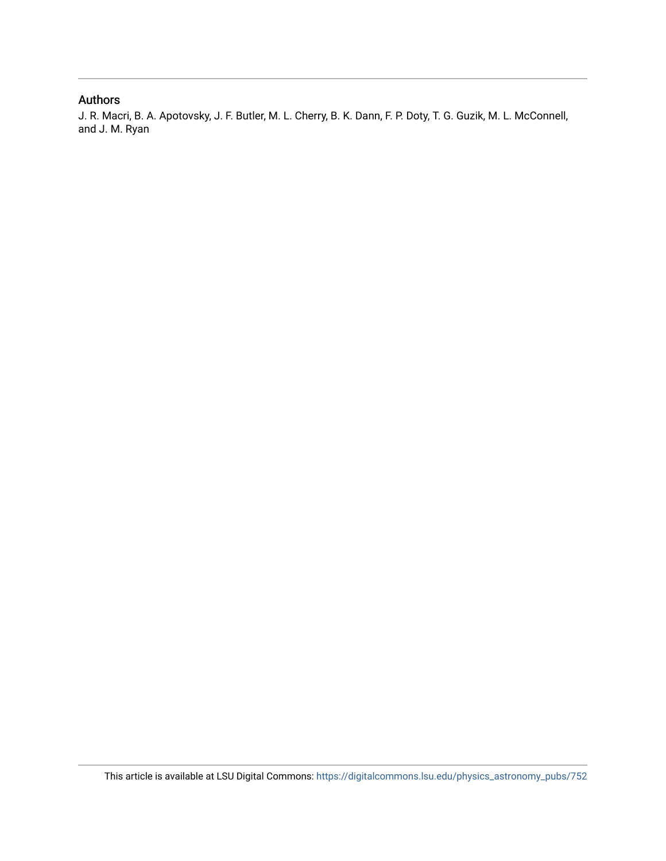# Authors

J. R. Macri, B. A. Apotovsky, J. F. Butler, M. L. Cherry, B. K. Dann, F. P. Doty, T. G. Guzik, M. L. McConnell, and J. M. Ryan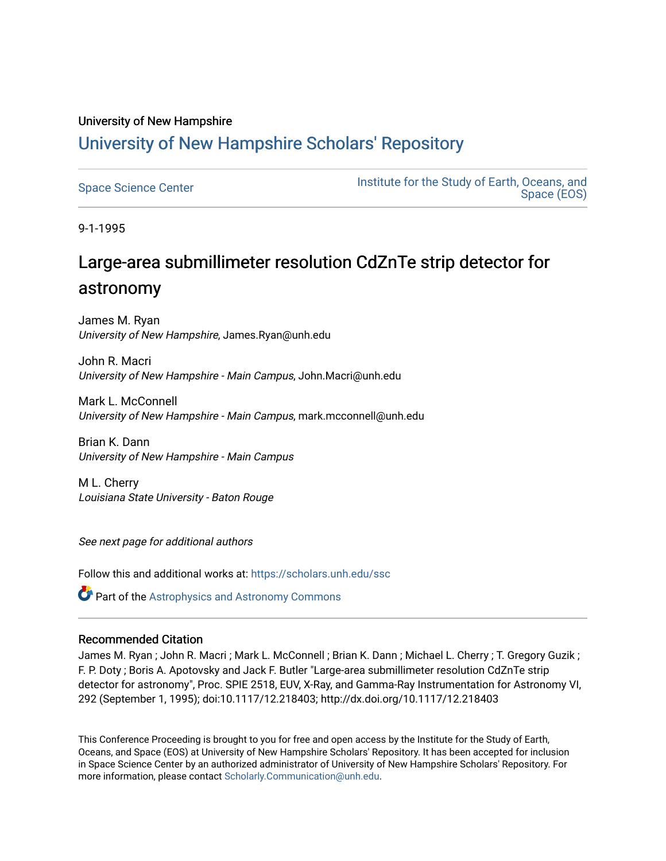# University of New Hampshire [University of New Hampshire Scholars' Repository](https://scholars.unh.edu/)

| <b>Space Science Center</b> | Institute for the Study of Earth, Oceans, and<br>Space (EOS) |
|-----------------------------|--------------------------------------------------------------|
|-----------------------------|--------------------------------------------------------------|

9-1-1995

# Large-area submillimeter resolution CdZnTe strip detector for astronomy

James M. Ryan University of New Hampshire, James.Ryan@unh.edu

John R. Macri University of New Hampshire - Main Campus, John.Macri@unh.edu

Mark L. McConnell University of New Hampshire - Main Campus, mark.mcconnell@unh.edu

Brian K. Dann University of New Hampshire - Main Campus

M L. Cherry Louisiana State University - Baton Rouge

See next page for additional authors

Follow this and additional works at: [https://scholars.unh.edu/ssc](https://scholars.unh.edu/ssc?utm_source=scholars.unh.edu%2Fssc%2F106&utm_medium=PDF&utm_campaign=PDFCoverPages)

**Part of the Astrophysics and Astronomy Commons** 

### Recommended Citation

James M. Ryan ; John R. Macri ; Mark L. McConnell ; Brian K. Dann ; Michael L. Cherry ; T. Gregory Guzik ; F. P. Doty ; Boris A. Apotovsky and Jack F. Butler "Large-area submillimeter resolution CdZnTe strip detector for astronomy", Proc. SPIE 2518, EUV, X-Ray, and Gamma-Ray Instrumentation for Astronomy VI, 292 (September 1, 1995); doi:10.1117/12.218403; http://dx.doi.org/10.1117/12.218403

This Conference Proceeding is brought to you for free and open access by the Institute for the Study of Earth, Oceans, and Space (EOS) at University of New Hampshire Scholars' Repository. It has been accepted for inclusion in Space Science Center by an authorized administrator of University of New Hampshire Scholars' Repository. For more information, please contact [Scholarly.Communication@unh.edu.](mailto:Scholarly.Communication@unh.edu)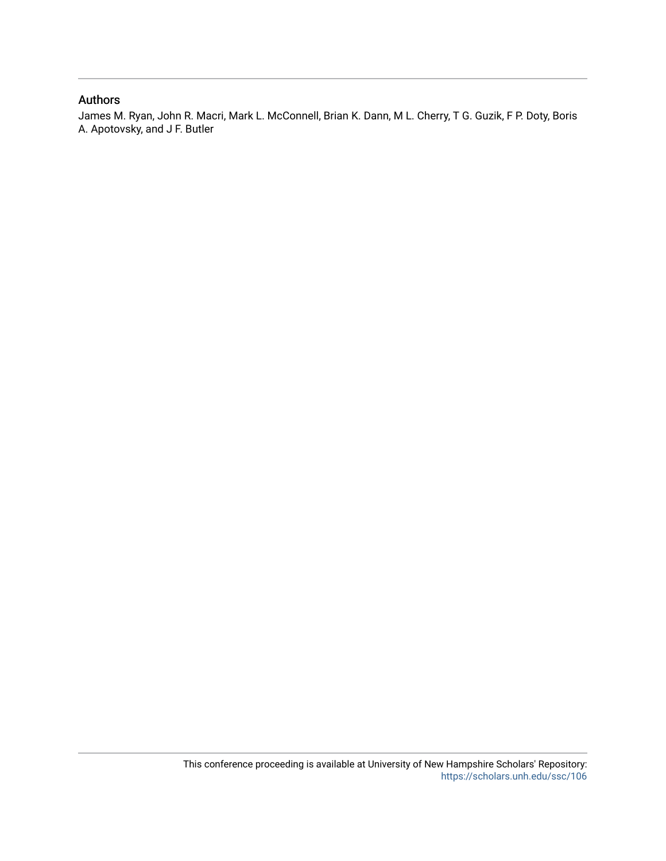## Authors

James M. Ryan, John R. Macri, Mark L. McConnell, Brian K. Dann, M L. Cherry, T G. Guzik, F P. Doty, Boris A. Apotovsky, and J F. Butler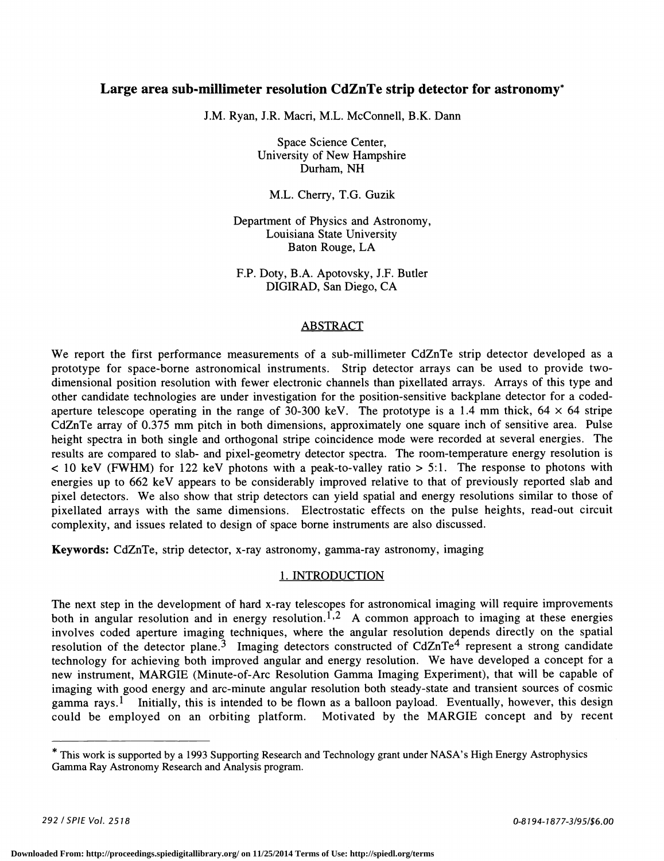## Large area sub-millimeter resolution CdZnTe strip detector for astronomy\*

J.M. Ryan, J.R. Macri, M.L. McConnell, B.K. Dann

Space Science Center, University of New Hampshire Durham, NH

M.L. Cherry, T.G. Guzik

Department of Physics and Astronomy, Louisiana State University Baton Rouge, LA

F.P. Doty, B.A. Apotovsky, J.F. Butler DIGIRAD, San Diego, CA

#### ABSTRACT

We report the first performance measurements of a sub-millimeter CdZnTe strip detector developed as a prototype for space-borne astronomical instruments. Strip detector arrays can be used to provide twodimensional position resolution with fewer electronic channels than pixellated arrays. Arrays of this type and other candidate technologies are under investigation for the position-sensitive backplane detector for a codedaperture telescope operating in the range of 30-300 keV. The prototype is a 1.4 mm thick,  $64 \times 64$  stripe CdZnTe array of 0.375 mm pitch in both dimensions, approximately one square inch of sensitive area. Pulse height spectra in both single and orthogonal stripe coincidence mode were recorded at several energies. The results are compared to slab- and pixel-geometry detector spectra. The room-temperature energy resolution is  $<$  10 keV (FWHM) for 122 keV photons with a peak-to-valley ratio  $>$  5:1. The response to photons with energies up to 662 keY appears to be considerably improved relative to that of previously reported slab and pixel detectors. We also show that strip detectors can yield spatial and energy resolutions similar to those of pixellated arrays with the same dimensions. Electrostatic effects on the pulse heights, read-out circuit complexity, and issues related to design of space borne instruments are also discussed.

Keywords: CdZnTe, strip detector, x-ray astronomy, gamma-ray astronomy, imaging

#### 1. INTRODUCTION

The next step in the development of hard x-ray telescopes for astronomical imaging will require improvements both in angular resolution and in energy resolution.<sup>1,2</sup> A common approach to imaging at these energies involves coded aperture imaging techniques, where the angular resolution depends directly on the spatial resolution of the detector plane.<sup>3</sup> Imaging detectors constructed of CdZnTe<sup>4</sup> represent a strong candidate technology for achieving both improved angular and energy resolution. We have developed a concept for a new instrument, MARGIE (Minute-of-Arc Resolution Gamma Imaging Experiment), that will be capable of imaging with good energy and arc-minute angular resolution both steady-state and transient sources of cosmic gamma rays.<sup>1</sup> Initially, this is intended to be flown as a balloon payload. Eventually, however, this design could be employed on an orbiting platform. Motivated by the MARGIE concept and by recent Motivated by the MARGIE concept and by recent

<sup>\*</sup> This work is supported by a 1993 Supporting Research and Technology grant under NASA' s High Energy Astrophysics Gamma Ray Astronomy Research and Analysis program.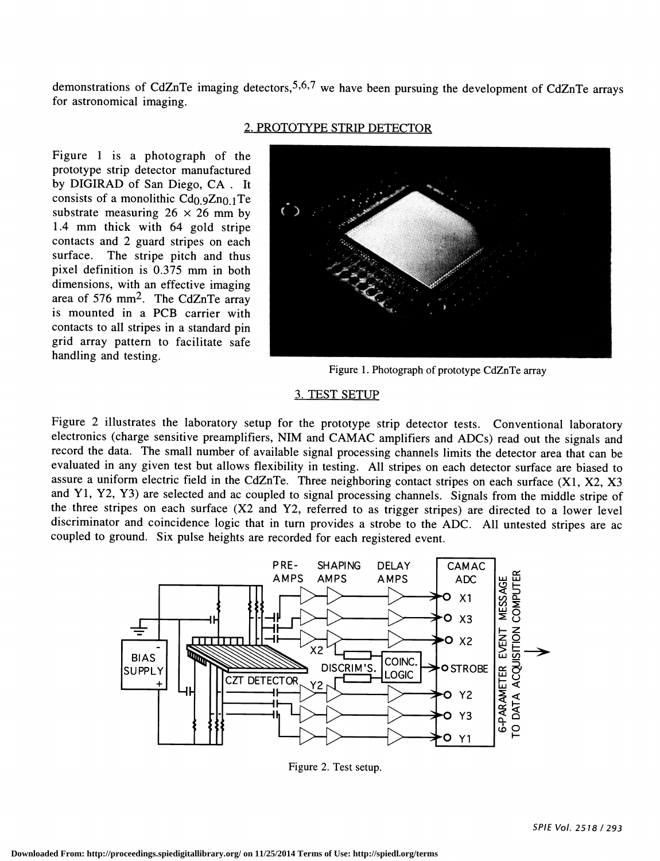demonstrations of CdZnTe imaging detectors,  $5.6$ , 7 we have been pursuing the development of CdZnTe arrays for astronomical imaging.

#### 2. PROTOTYPE STRIP DETECTOR

Figure 1 is a photograph of the prototype strip detector manufactured by DIGIRAD of San Diego, CA . It consists of a monolithic  $Cd<sub>0.9</sub>Zn<sub>0.1</sub>Te$ substrate measuring  $26 \times 26$  mm by 1.4 mm thick with 64 gold stripe contacts and 2 guard stripes on each surface. The stripe pitch and thus pixel definition is 0.375 mm in both dimensions, with an effective imaging area of 576 mm2. The CdZnTe array is mounted in a PCB carrier with contacts to all stripes in a standard pin grid array pattern to facilitate safe handling and testing.



Figure 1. Photograph of prototype CdZnTe array

#### 3. TEST SETUP

Figure 2 illustrates the laboratory setup for the prototype strip detector tests. Conventional laboratory electronics (charge sensitive preamplifiers, NIM and CAMAC amplifiers and ADCs) read out the signals and record the data. The small number of available signal processing channels limits the detector area that can be evaluated in any given test but allows flexibility in testing. All stripes on each detector surface are biased to assure a uniform electric field in the CdZnTe. Three neighboring contact stripes on each surface (X1, X2, X3 and Yl, Y2, Y3) are selected and ac coupled to signal processing channels. Signals from the middle stripe of the three stripes on each surface (X2 and Y2, referred to as trigger stripes) are directed to a lower level discriminator and coincidence logic that in turn provides a strobe to the ADC. All untested stripes are ac coupled to ground. Six pulse heights are recorded for each registered event.



Figure 2. Test setup.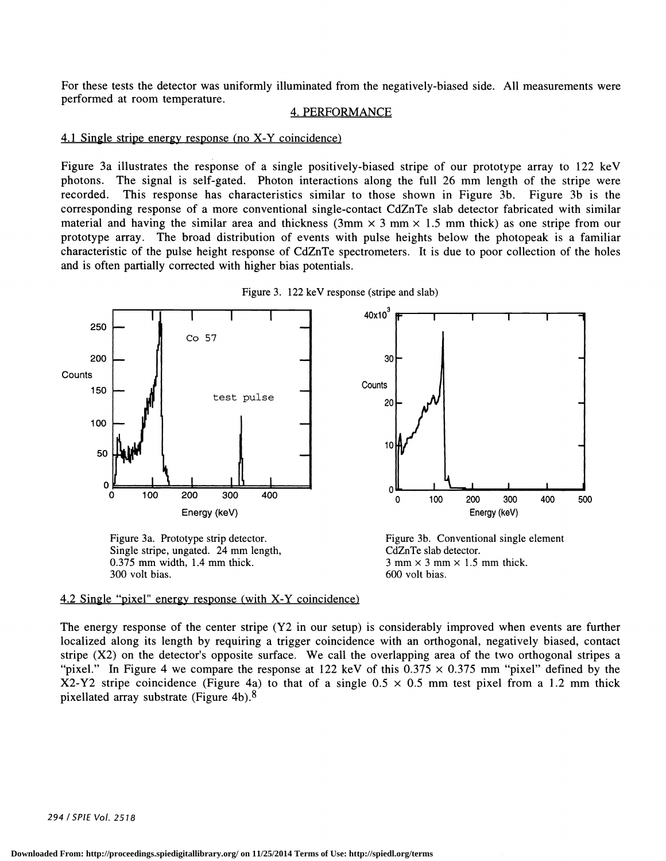For these tests the detector was uniformly illuminated from the negatively-biased side. All measurements were performed at room temperature.

#### 4. PERFORMANCE

#### 4.1 Single stripe energy response (no X-Y coincidence)

Figure 3a illustrates the response of a single positively-biased stripe of our prototype array to 122 keV photons. The signal is self-gated. Photon interactions along the full 26 mm length of the stripe were recorded. This response has characteristics similar to those shown in Figure 3b. Figure 3b is the corresponding response of a more conventional single-contact CdZnTe slab detector fabricated with similar material and having the similar area and thickness (3mm  $\times$  3 mm  $\times$  1.5 mm thick) as one stripe from our prototype array. The broad distribution of events with pulse heights below the photopeak is a familiar characteristic of the pulse height response of CdZnTe spectrometers. It is due to poor collection of the holes and is often partially corrected with higher bias potentials.



Figure 3. 122 keV response (stripe and slab)

 $0.375$  mm width, 1.4 mm thick. 300 volt bias.

CdZnTe slab detector.  $3$  mm  $\times$  3 mm  $\times$  1.5 mm thick. 600 volt bias.

# 4.2 Single "pixel" energy response (with X-Y coincidence)

The energy response of the center stripe (Y2 in our setup) is considerably improved when events are further localized along its length by requiring a trigger coincidence with an orthogonal, negatively biased, contact stripe (X2) on the detector's opposite surface. We call the overlapping area of the two orthogonal stripes a "pixel." In Figure 4 we compare the response at 122 keV of this  $0.375 \times 0.375$  mm "pixel" defined by the X2-Y2 stripe coincidence (Figure 4a) to that of a single  $0.5 \times 0.5$  mm test pixel from a 1.2 mm thick pixellated array substrate (Figure 4b).8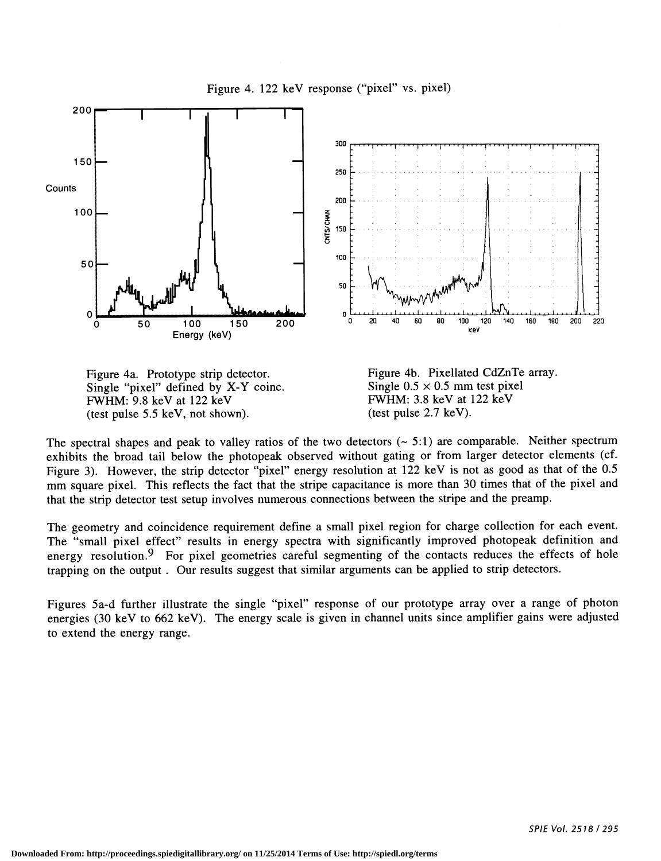



The spectral shapes and peak to valley ratios of the two detectors  $(-5.1)$  are comparable. Neither spectrum exhibits the broad tail below the photopeak observed without gating or from larger detector elements (cf. Figure 3). However, the strip detector "pixel" energy resolution at 122 keY is not as good as that of the 0.5 mm square pixel. This reflects the fact that the stripe capacitance is more than 30 times that of the pixel and that the strip detector test setup involves numerous connections between the stripe and the preamp.

The geometry and coincidence requirement define a small pixel region for charge collection for each event. The "small pixel effect" results in energy spectra with significantly improved photopeak definition and energy resolution.<sup>9</sup> For pixel geometries careful segmenting of the contacts reduces the effects of hole trapping on the output . Our results suggest that similar arguments can be applied to strip detectors.

Figures 5a-d further illustrate the single "pixel" response of our prototype array over a range of photon energies (30 keY to 662 keY). The energy scale is given in channel units since amplifier gains were adjusted to extend the energy range.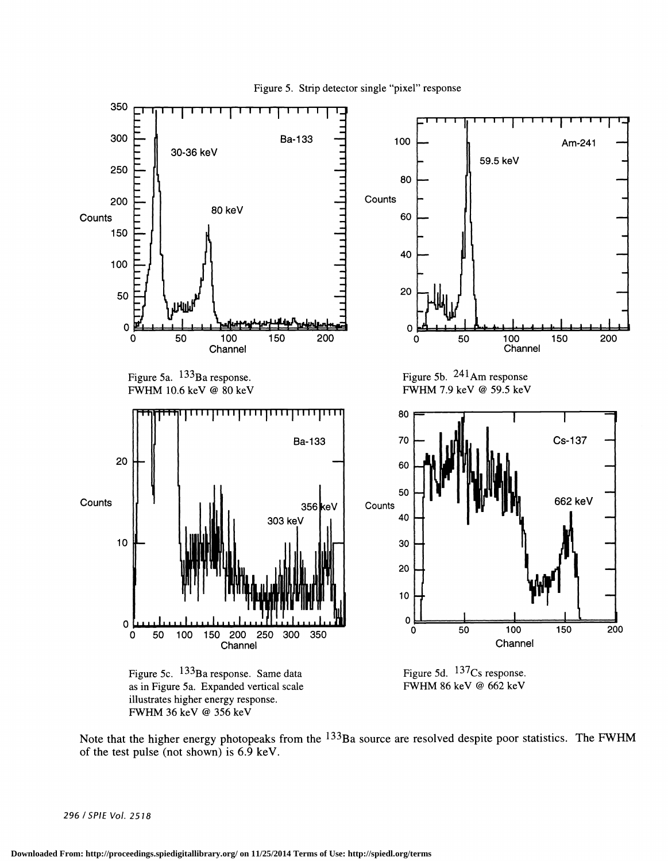

Note that the higher energy photopeaks from the  $133Ba$  source are resolved despite poor statistics. The FWHM of the test pulse (not shown) is 6.9 keV.

296 ISPIE Vol. 2518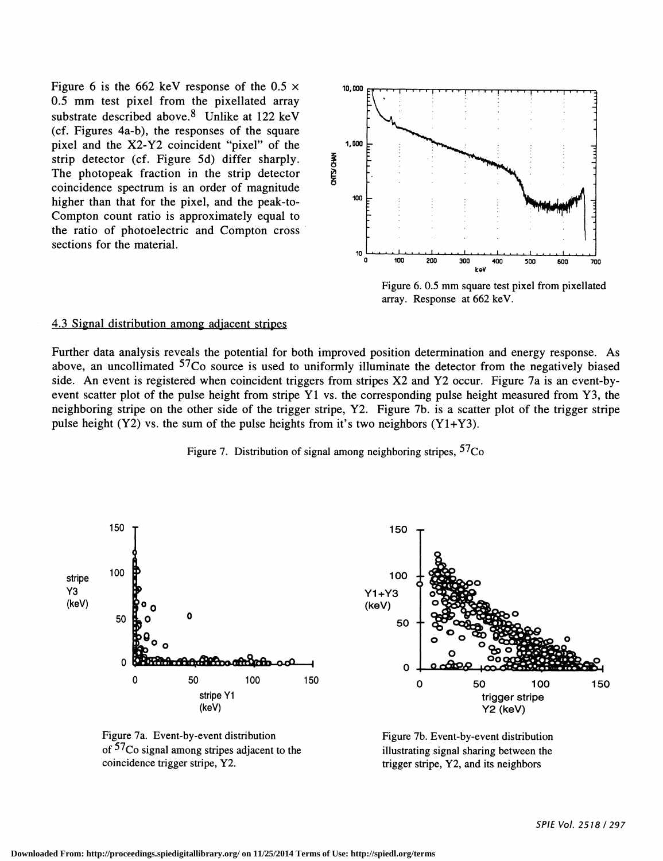Figure 6 is the 662 keV response of the 0.5  $\times$ 0.5 mm test pixel from the pixellated array substrate described above.<sup>8</sup> Unlike at 122 keV (cf. Figures 4a-b), the responses of the square pixel and the X2-Y2 coincident "pixel" of the<br>strip detector (cf. Figure 5d) differ sharply.<br>The photopeak fraction in the strip detector strip detector (cf. Figure Sd) differ sharply. The photopeak fraction in the strip detector coincidence spectrum is an order of magnitude higher than that for the pixel, and the peak-to-Compton count ratio is approximately equal to the ratio of photoelectric and Compton cross sections for the material.



Figure 6. 0.5 mm square test pixel from pixellated array. Response at 662 keV.

#### 4.3 Signal distribution among adjacent stripes

Further data analysis reveals the potential for both improved position determination and energy response. As above, an uncollimated  $57C$ o source is used to uniformly illuminate the detector from the negatively biased side. An event is registered when coincident triggers from stripes X2 and Y2 occur. Figure 7a is an event-byevent scatter plot of the pulse height from stripe Yl vs. the corresponding pulse height measured from Y3, the neighboring stripe on the other side of the trigger stripe, Y2. Figure 7b. is a scatter plot of the trigger stripe pulse height (Y2) vs. the sum of the pulse heights from it's two neighbors (Y1+Y3).





Figure 7a. Event-by-event distribution of <sup>57</sup>Co signal among stripes adjacent to the coincidence trigger stripe, Y2.

Figure 7b. Event-by-event distribution illustrating signal sharing between the trigger stripe, Y2, and its neighbors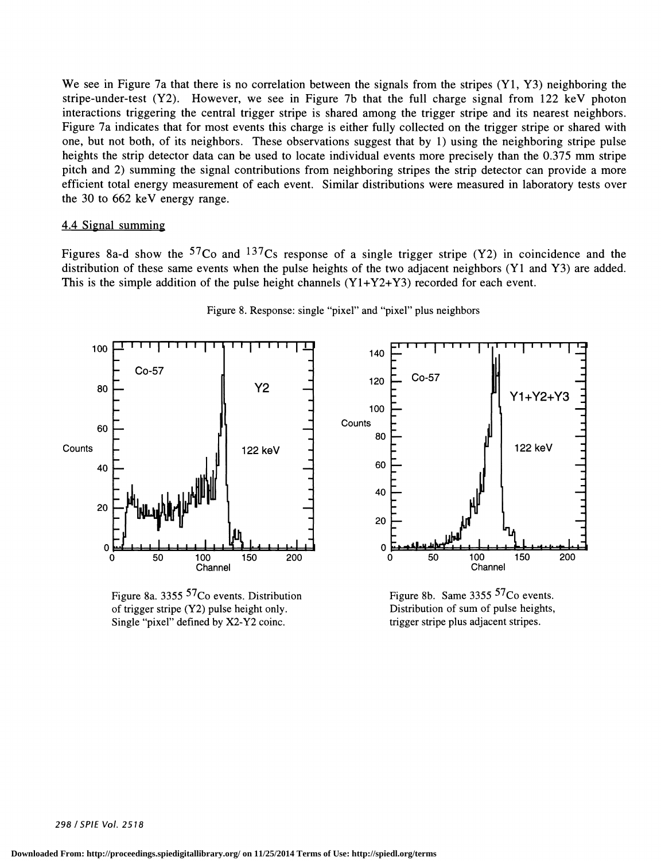We see in Figure 7a that there is no correlation between the signals from the stripes (Y1, Y3) neighboring the stripe-under-test (Y2). However, we see in Figure 7b that the full charge signal from 122 keV photon interactions triggering the central trigger stripe is shared among the trigger stripe and its nearest neighbors. Figure 7a indicates that for most events this charge is either fully collected on the trigger stripe or shared with one, but not both, of its neighbors. These observations suggest that by 1) using the neighboring stripe pulse heights the strip detector data can be used to locate individual events more precisely than the 0.375mm stripe pitch and 2) summing the signal contributions from neighboring stripes the strip detector can provide a more efficient total energy measurement of each event. Similar distributions were measured in laboratory tests over the 30 to 662 keY energy range.

#### 4.4 Signal summing

Figures 8a-d show the  $57C<sub>O</sub>$  and  $137C<sub>S</sub>$  response of a single trigger stripe (Y2) in coincidence and the distribution of these same events when the pulse heights of the two adjacent neighbors (Yl and Y3) are added. This is the simple addition of the pulse height channels  $(Y1+Y2+Y3)$  recorded for each event.



Figure 8. Response: single "pixel" and "pixel" plus neighbors

Figure 8a. 3355 57Co events. Distribution of trigger stripe (Y2) pulse height only. Single "pixel" defined by X2-Y2 coinc.

Figure 8b. Same  $3355$   $57<sub>Co</sub>$  events. Distribution of sum of pulse heights, trigger stripe plus adjacent stripes.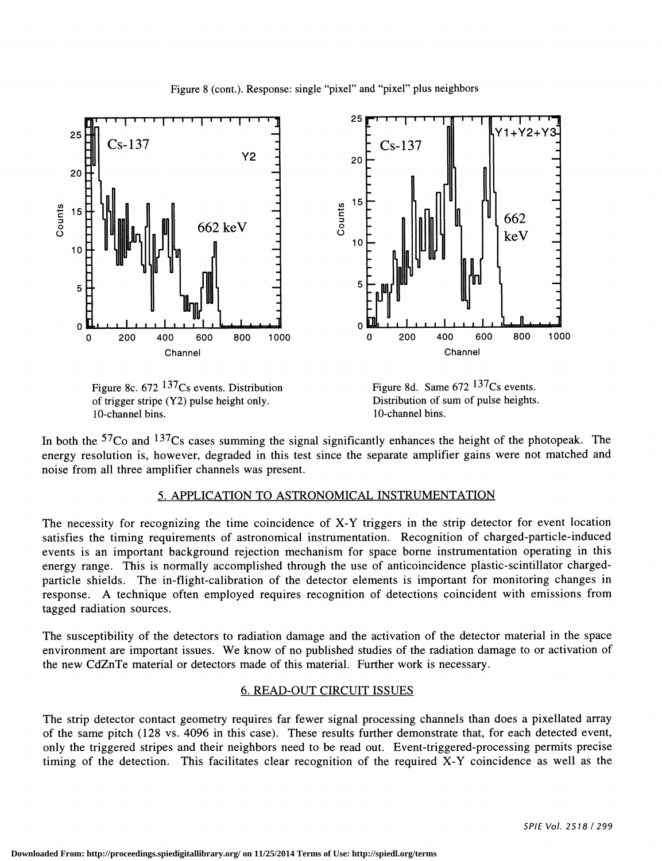

Figure 8 (cont.). Response: single "pixel" and "pixel" plus neighbors





In both the  $57C$ o and  $137C$ s cases summing the signal significantly enhances the height of the photopeak. The energy resolution is, however, degraded in this test since the separate amplifier gains were not matched and noise from all three amplifier channels was present.

### 5. APPLICATION TO ASTRONOMICAL INSTRUMENTATION

The necessity for recognizing the time coincidence of X-Y triggers in the strip detector for event location satisfies the timing requirements of astronomical instrumentation. Recognition of charged-particle-induced events is an important background rejection mechanism for space borne instrumentation operating in this energy range. This is normally accomplished through the use of anticoincidence plastic-scintillator chargedparticle shields. The in-flight-calibration of the detector elements is important for monitoring changes in response. A technique often employed requires recognition of detections coincident with emissions from tagged radiation sources.

The susceptibility of the detectors to radiation damage and the activation of the detector material in the space environment are important issues. We know of no published studies of the radiation damage to or activation of the new CdZnTe material or detectors made of this material. Further work is necessary.

#### 6. READ-OUT CIRCUIT ISSUES

The strip detector contact geometry requires far fewer signal processing channels than does a pixellated array of the same pitch (128 vs. 4096 in this case). These results further demonstrate that, for each detected event, only the triggered stripes and their neighbors need to be read out. Event-triggered-processing permits precise timing of the detection. This facilitates clear recognition of the required X-Y coincidence as well as the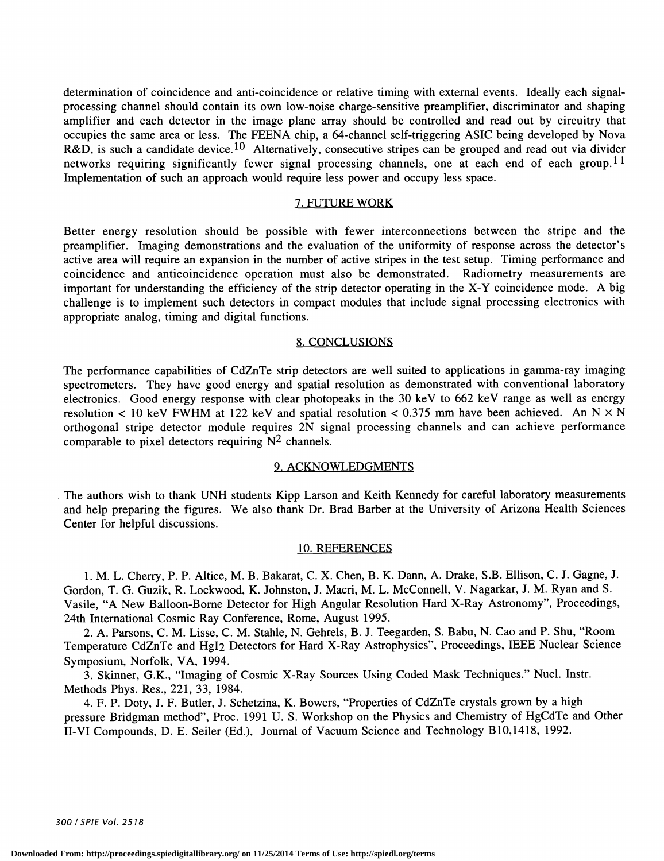determination of coincidence and anti-coincidence or relative timing with external events. Ideally each signalprocessing channel should contain its own low-noise charge-sensitive preamplifier, discriminator and shaping amplifier and each detector in the image plane array should be controlled and read out by circuitry that occupies the same area or less. The FEENA chip, a 64-channel self-triggering ASIC being developed by Nova R&D, is such a candidate device.<sup>10</sup> Alternatively, consecutive stripes can be grouped and read out via divider networks requiring significantly fewer signal processing channels, one at each end of each group.<sup>11</sup> Implementation of such an approach would require less power and occupy less space.

#### 7. FUTURE WORK

Better energy resolution should be possible with fewer interconnections between the stripe and the preamplifier. Imaging demonstrations and the evaluation of the uniformity of response across the detector's active area will require an expansion in the number of active stripes in the test setup. Timing performance and coincidence and anticoincidence operation must also be demonstrated. Radiometry measurements are important for understanding the efficiency of the strip detector operating in the X-Y coincidence mode. A big challenge is to implement such detectors in compact modules that include signal processing electronics with appropriate analog, timing and digital functions.

#### 8. CONCLUSIONS

The performance capabilities of CdZnTe strip detectors are well suited to applications in gamma-ray imaging spectrometers. They have good energy and spatial resolution as demonstrated with conventional laboratory electronics. Good energy response with clear photopeaks in the 30 keY to 662 keY range as well as energy resolution < 10 keV FWHM at 122 keV and spatial resolution < 0.375 mm have been achieved. An  $N \times N$ orthogonal stripe detector module requires 2N signal processing channels and can achieve performance comparable to pixel detectors requiring  $N^2$  channels.

#### 9. ACKNOWLEDGMENTS

The authors wish to thank UNH students Kipp Larson and Keith Kennedy for careful laboratory measurements and help preparing the figures. We also thank Dr. Brad Barber at the University of Arizona Health Sciences Center for helpful discussions.

#### 10. REFERENCES

1 . M. L. Cherry, P. P. Altice, M. B. Bakarat, C. X. Chen, B. K. Dann, A. Drake, S.B. Ellison, C. J. Gagne, J. Gordon, T. G. Guzik, R. Lockwood, K. Johnston, J. Macri, M. L. McConnell, V. Nagarkar, J. M. Ryan and S. Vasile, "A New Balloon-Borne Detector for High Angular Resolution Hard X-Ray Astronomy", Proceedings, 24th International Cosmic Ray Conference, Rome, August 1995.

2. A. Parsons, C. M. Lisse, C. M. Stahle, N. Gehrels, B. J. Teegarden, S. Babu, N. Cao and P. Shu, "Room Temperature CdZnTe and HgI2 Detectors for Hard X-Ray Astrophysics", Proceedings, IEEE Nuclear Science Symposium, Norfolk, VA, 1994.

3. Skinner, G.K., "Imaging of Cosmic X-Ray Sources Using Coded Mask Techniques." Nucl. Instr. Methods Phys. Res., 221, 33, 1984.

4. F. P. Doty, J. F. Butler, J. Schetzina, K. Bowers, "Properties of CdZnTe crystals grown by a high pressure Bridgman method", Proc. 1991 U. S. Workshop on the Physics and Chemistry of HgCdTe and Other II-VI Compounds, D. E. Seiler (Ed.), Journal of Vacuum Science and Technology B1O,1418, 1992.